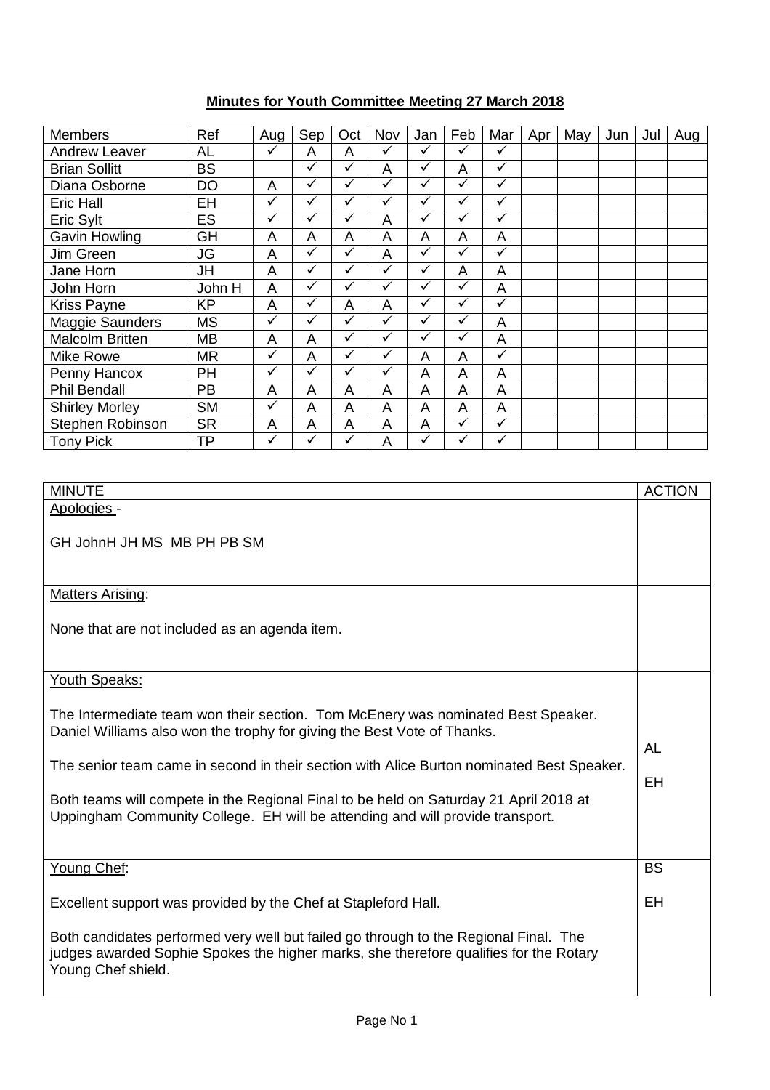## **Minutes for Youth Committee Meeting 27 March 2018**

| <b>Members</b>         | Ref       | Aug          | Sep          | Oct          | Nov | Jan          | Feb          | Mar          | Apr | May | Jun | Jul | Aug |
|------------------------|-----------|--------------|--------------|--------------|-----|--------------|--------------|--------------|-----|-----|-----|-----|-----|
| <b>Andrew Leaver</b>   | AL        | ✓            | Α            | A            | ✓   | $\checkmark$ | ✓            | ✓            |     |     |     |     |     |
| <b>Brian Sollitt</b>   | <b>BS</b> |              | $\checkmark$ | ✓            | A   | ✓            | A            | $\checkmark$ |     |     |     |     |     |
| Diana Osborne          | <b>DO</b> | A            | ✓            | ✓            | ✓   | ✓            | ✓            | $\checkmark$ |     |     |     |     |     |
| Eric Hall              | EH        | ✓            | ✓            | ✓            | ✓   | ✓            | ✓            | ✓            |     |     |     |     |     |
| Eric Sylt              | <b>ES</b> | $\checkmark$ | ✓            | ✓            | A   | ✓            | ✓            | $\checkmark$ |     |     |     |     |     |
| Gavin Howling          | GH        | A            | A            | A            | A   | A            | A            | A            |     |     |     |     |     |
| Jim Green              | JG        | A            | ✓            | $\checkmark$ | A   | ✓            | $\checkmark$ | $\checkmark$ |     |     |     |     |     |
| Jane Horn              | JH        | A            | ✓            | ✓            | ✓   | ✓            | A            | A            |     |     |     |     |     |
| John Horn              | John H    | A            | ✓            | ✓            | ✓   |              | ✓            | A            |     |     |     |     |     |
| <b>Kriss Payne</b>     | <b>KP</b> | A            | ✓            | A            | A   | ✓            | ✓            | $\checkmark$ |     |     |     |     |     |
| Maggie Saunders        | <b>MS</b> | $\checkmark$ | ✓            | ✓            | ✓   | ✓            | ✓            | A            |     |     |     |     |     |
| <b>Malcolm Britten</b> | MВ        | A            | A            | ✓            | ✓   | $\checkmark$ | ✓            | A            |     |     |     |     |     |
| Mike Rowe              | MR        | ✓            | A            | ✓            | ✓   | A            | A            | ✓            |     |     |     |     |     |
| Penny Hancox           | PH        | ✓            | $\checkmark$ | ✓            | ✓   | A            | A            | A            |     |     |     |     |     |
| <b>Phil Bendall</b>    | <b>PB</b> | A            | A            | A            | A   | A            | A            | A            |     |     |     |     |     |
| <b>Shirley Morley</b>  | <b>SM</b> | ✓            | A            | A            | A   | A            | A            | A            |     |     |     |     |     |
| Stephen Robinson       | <b>SR</b> | A            | A            | A            | A   | A            | $\checkmark$ | $\checkmark$ |     |     |     |     |     |
| <b>Tony Pick</b>       | ΤP        | ✓            | ✓            | ✓            | A   | ✓            | ✓            | $\checkmark$ |     |     |     |     |     |

| <b>MINUTE</b>                                                                                                                                                                                                                                                                                                                                                                                                                      | <b>ACTION</b> |
|------------------------------------------------------------------------------------------------------------------------------------------------------------------------------------------------------------------------------------------------------------------------------------------------------------------------------------------------------------------------------------------------------------------------------------|---------------|
| Apologies -                                                                                                                                                                                                                                                                                                                                                                                                                        |               |
| GH JohnH JH MS MB PH PB SM                                                                                                                                                                                                                                                                                                                                                                                                         |               |
| <b>Matters Arising:</b>                                                                                                                                                                                                                                                                                                                                                                                                            |               |
| None that are not included as an agenda item.                                                                                                                                                                                                                                                                                                                                                                                      |               |
| Youth Speaks:                                                                                                                                                                                                                                                                                                                                                                                                                      |               |
| The Intermediate team won their section. Tom McEnery was nominated Best Speaker.<br>Daniel Williams also won the trophy for giving the Best Vote of Thanks.<br>The senior team came in second in their section with Alice Burton nominated Best Speaker.<br>Both teams will compete in the Regional Final to be held on Saturday 21 April 2018 at<br>Uppingham Community College. EH will be attending and will provide transport. | AL<br>EH      |
| Young Chef:                                                                                                                                                                                                                                                                                                                                                                                                                        | <b>BS</b>     |
| Excellent support was provided by the Chef at Stapleford Hall.                                                                                                                                                                                                                                                                                                                                                                     | <b>EH</b>     |
| Both candidates performed very well but failed go through to the Regional Final. The<br>judges awarded Sophie Spokes the higher marks, she therefore qualifies for the Rotary<br>Young Chef shield.                                                                                                                                                                                                                                |               |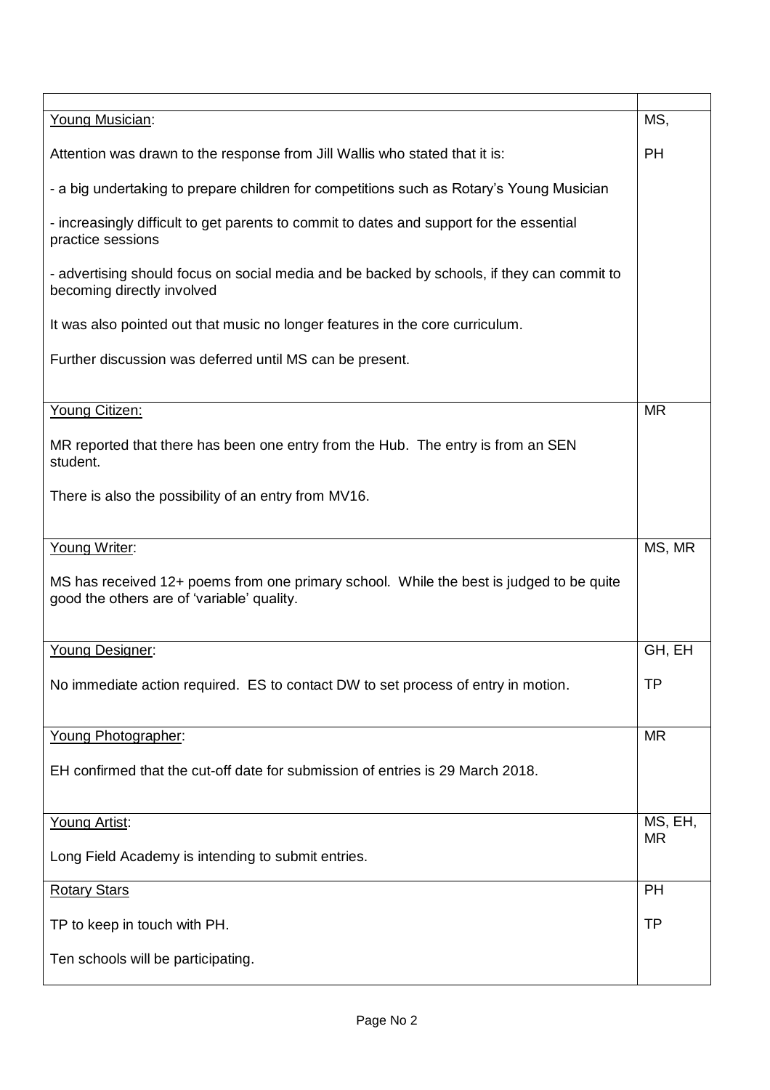| Young Musician:                                                                                                                       | MS,       |  |  |
|---------------------------------------------------------------------------------------------------------------------------------------|-----------|--|--|
| Attention was drawn to the response from Jill Wallis who stated that it is:                                                           | <b>PH</b> |  |  |
| - a big undertaking to prepare children for competitions such as Rotary's Young Musician                                              |           |  |  |
| - increasingly difficult to get parents to commit to dates and support for the essential<br>practice sessions                         |           |  |  |
| - advertising should focus on social media and be backed by schools, if they can commit to<br>becoming directly involved              |           |  |  |
| It was also pointed out that music no longer features in the core curriculum.                                                         |           |  |  |
| Further discussion was deferred until MS can be present.                                                                              |           |  |  |
| Young Citizen:                                                                                                                        | <b>MR</b> |  |  |
| MR reported that there has been one entry from the Hub. The entry is from an SEN<br>student.                                          |           |  |  |
| There is also the possibility of an entry from MV16.                                                                                  |           |  |  |
|                                                                                                                                       |           |  |  |
| Young Writer:                                                                                                                         | MS, MR    |  |  |
| MS has received 12+ poems from one primary school. While the best is judged to be quite<br>good the others are of 'variable' quality. |           |  |  |
| Young Designer:                                                                                                                       | GH, EH    |  |  |
| No immediate action required. ES to contact DW to set process of entry in motion.                                                     | <b>TP</b> |  |  |
| Young Photographer:                                                                                                                   | <b>MR</b> |  |  |
| EH confirmed that the cut-off date for submission of entries is 29 March 2018.                                                        |           |  |  |
| Young Artist:                                                                                                                         | MS, EH,   |  |  |
| Long Field Academy is intending to submit entries.                                                                                    | <b>MR</b> |  |  |
| <b>Rotary Stars</b>                                                                                                                   | <b>PH</b> |  |  |
| TP to keep in touch with PH.                                                                                                          | <b>TP</b> |  |  |